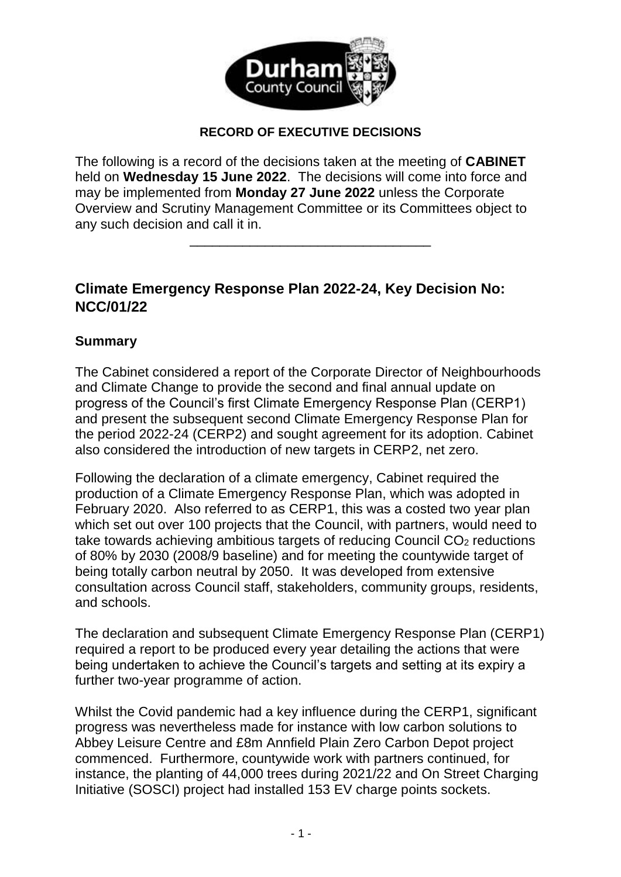

#### **RECORD OF EXECUTIVE DECISIONS**

The following is a record of the decisions taken at the meeting of **CABINET**  held on **Wednesday 15 June 2022**. The decisions will come into force and may be implemented from **Monday 27 June 2022** unless the Corporate Overview and Scrutiny Management Committee or its Committees object to any such decision and call it in.

\_\_\_\_\_\_\_\_\_\_\_\_\_\_\_\_\_\_\_\_\_\_\_\_\_\_\_\_\_\_\_\_

## **Climate Emergency Response Plan 2022-24, Key Decision No: NCC/01/22**

#### **Summary**

The Cabinet considered a report of the Corporate Director of Neighbourhoods and Climate Change to provide the second and final annual update on progress of the Council's first Climate Emergency Response Plan (CERP1) and present the subsequent second Climate Emergency Response Plan for the period 2022-24 (CERP2) and sought agreement for its adoption. Cabinet also considered the introduction of new targets in CERP2, net zero.

Following the declaration of a climate emergency, Cabinet required the production of a Climate Emergency Response Plan, which was adopted in February 2020. Also referred to as CERP1, this was a costed two year plan which set out over 100 projects that the Council, with partners, would need to take towards achieving ambitious targets of reducing Council CO<sub>2</sub> reductions of 80% by 2030 (2008/9 baseline) and for meeting the countywide target of being totally carbon neutral by 2050. It was developed from extensive consultation across Council staff, stakeholders, community groups, residents, and schools.

The declaration and subsequent Climate Emergency Response Plan (CERP1) required a report to be produced every year detailing the actions that were being undertaken to achieve the Council's targets and setting at its expiry a further two-year programme of action.

Whilst the Covid pandemic had a key influence during the CERP1, significant progress was nevertheless made for instance with low carbon solutions to Abbey Leisure Centre and £8m Annfield Plain Zero Carbon Depot project commenced. Furthermore, countywide work with partners continued, for instance, the planting of 44,000 trees during 2021/22 and On Street Charging Initiative (SOSCI) project had installed 153 EV charge points sockets.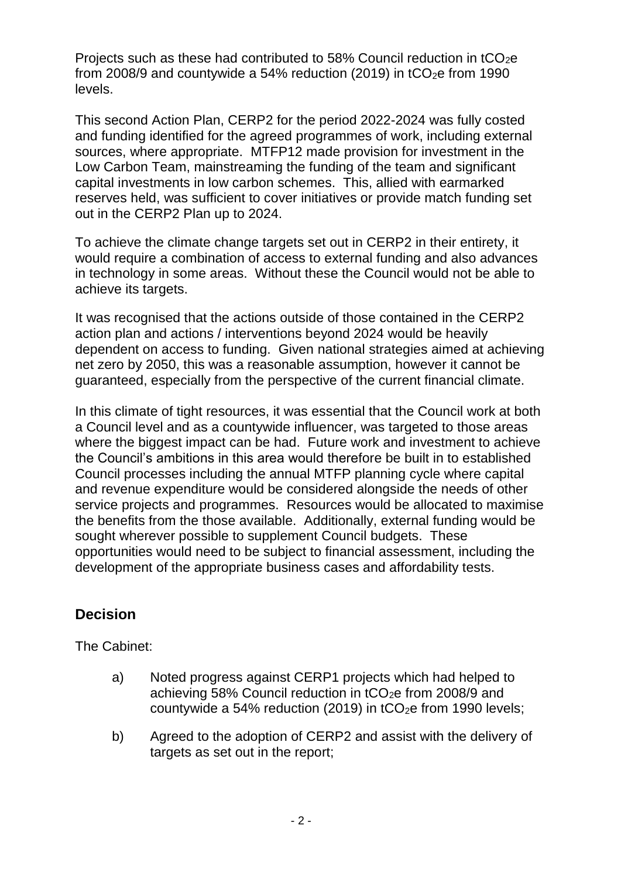Projects such as these had contributed to 58% Council reduction in tCO<sub>2</sub>e from 2008/9 and countywide a 54% reduction (2019) in  $tCO<sub>2</sub>e$  from 1990 levels.

This second Action Plan, CERP2 for the period 2022-2024 was fully costed and funding identified for the agreed programmes of work, including external sources, where appropriate. MTFP12 made provision for investment in the Low Carbon Team, mainstreaming the funding of the team and significant capital investments in low carbon schemes. This, allied with earmarked reserves held, was sufficient to cover initiatives or provide match funding set out in the CERP2 Plan up to 2024.

To achieve the climate change targets set out in CERP2 in their entirety, it would require a combination of access to external funding and also advances in technology in some areas. Without these the Council would not be able to achieve its targets.

It was recognised that the actions outside of those contained in the CERP2 action plan and actions / interventions beyond 2024 would be heavily dependent on access to funding. Given national strategies aimed at achieving net zero by 2050, this was a reasonable assumption, however it cannot be guaranteed, especially from the perspective of the current financial climate.

In this climate of tight resources, it was essential that the Council work at both a Council level and as a countywide influencer, was targeted to those areas where the biggest impact can be had. Future work and investment to achieve the Council's ambitions in this area would therefore be built in to established Council processes including the annual MTFP planning cycle where capital and revenue expenditure would be considered alongside the needs of other service projects and programmes. Resources would be allocated to maximise the benefits from the those available. Additionally, external funding would be sought wherever possible to supplement Council budgets. These opportunities would need to be subject to financial assessment, including the development of the appropriate business cases and affordability tests.

## **Decision**

The Cabinet:

- a) Noted progress against CERP1 projects which had helped to achieving 58% Council reduction in tCO<sub>2</sub>e from 2008/9 and countywide a 54% reduction (2019) in  $tCO<sub>2</sub>e$  from 1990 levels;
- b) Agreed to the adoption of CERP2 and assist with the delivery of targets as set out in the report;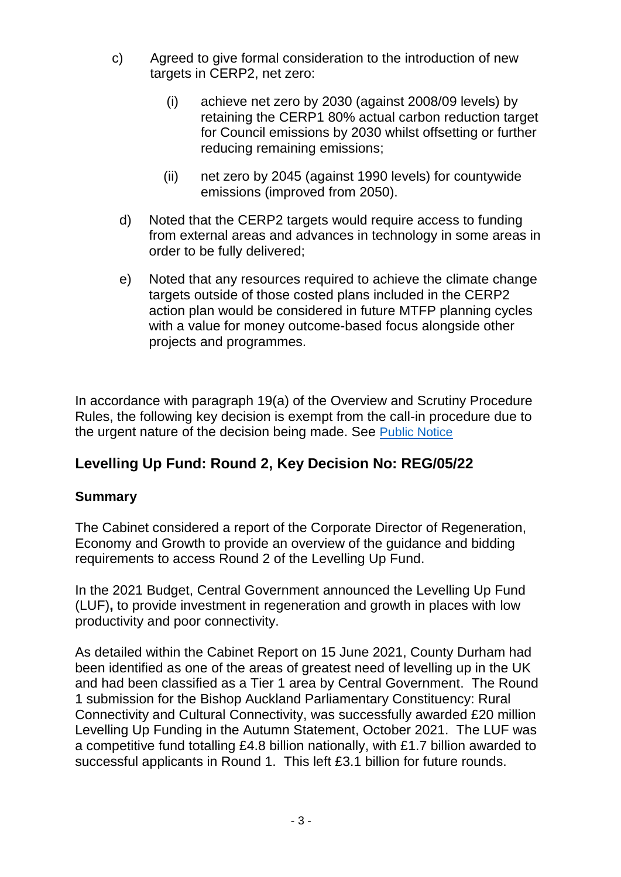- c) Agreed to give formal consideration to the introduction of new targets in CERP2, net zero:
	- (i) achieve net zero by 2030 (against 2008/09 levels) by retaining the CERP1 80% actual carbon reduction target for Council emissions by 2030 whilst offsetting or further reducing remaining emissions;
	- (ii) net zero by 2045 (against 1990 levels) for countywide emissions (improved from 2050).
	- d) Noted that the CERP2 targets would require access to funding from external areas and advances in technology in some areas in order to be fully delivered;
	- e) Noted that any resources required to achieve the climate change targets outside of those costed plans included in the CERP2 action plan would be considered in future MTFP planning cycles with a value for money outcome-based focus alongside other projects and programmes.

In accordance with paragraph 19(a) of the Overview and Scrutiny Procedure Rules, the following key decision is exempt from the call-in procedure due to the urgent nature of the decision being made. See [Public Notice](https://democracy.durham.gov.uk/documents/s157719/Levelling%20Up-%20Cabinet%20June%202022%20003.pdf)

# **Levelling Up Fund: Round 2, Key Decision No: REG/05/22**

## **Summary**

The Cabinet considered a report of the Corporate Director of Regeneration, Economy and Growth to provide an overview of the guidance and bidding requirements to access Round 2 of the Levelling Up Fund.

In the 2021 Budget, Central Government announced the Levelling Up Fund (LUF)**,** to provide investment in regeneration and growth in places with low productivity and poor connectivity.

As detailed within the Cabinet Report on 15 June 2021, County Durham had been identified as one of the areas of greatest need of levelling up in the UK and had been classified as a Tier 1 area by Central Government. The Round 1 submission for the Bishop Auckland Parliamentary Constituency: Rural Connectivity and Cultural Connectivity, was successfully awarded £20 million Levelling Up Funding in the Autumn Statement, October 2021. The LUF was a competitive fund totalling £4.8 billion nationally, with £1.7 billion awarded to successful applicants in Round 1. This left £3.1 billion for future rounds.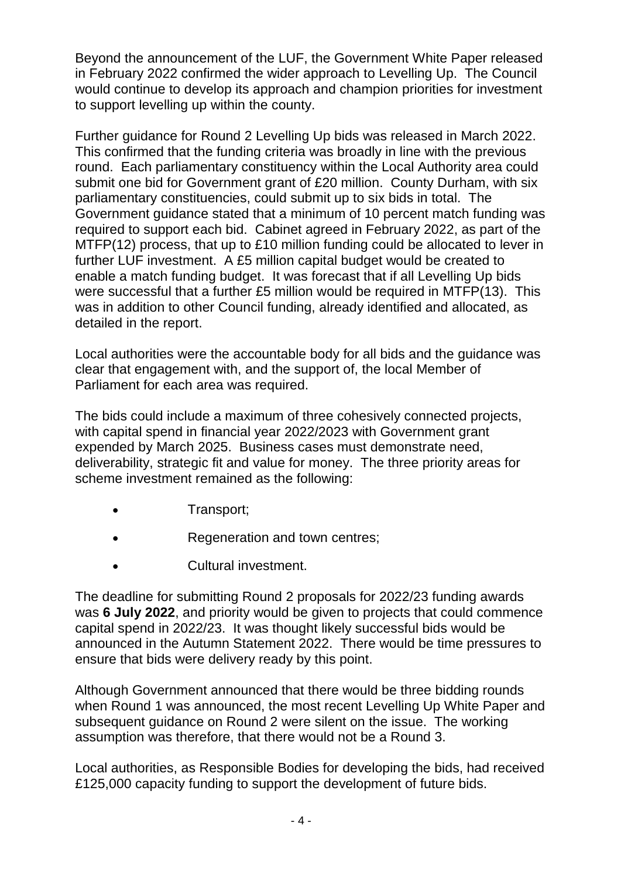Beyond the announcement of the LUF, the Government White Paper released in February 2022 confirmed the wider approach to Levelling Up. The Council would continue to develop its approach and champion priorities for investment to support levelling up within the county.

Further guidance for Round 2 Levelling Up bids was released in March 2022. This confirmed that the funding criteria was broadly in line with the previous round. Each parliamentary constituency within the Local Authority area could submit one bid for Government grant of £20 million. County Durham, with six parliamentary constituencies, could submit up to six bids in total. The Government guidance stated that a minimum of 10 percent match funding was required to support each bid. Cabinet agreed in February 2022, as part of the MTFP(12) process, that up to £10 million funding could be allocated to lever in further LUF investment. A £5 million capital budget would be created to enable a match funding budget. It was forecast that if all Levelling Up bids were successful that a further £5 million would be required in MTFP(13). This was in addition to other Council funding, already identified and allocated, as detailed in the report.

Local authorities were the accountable body for all bids and the guidance was clear that engagement with, and the support of, the local Member of Parliament for each area was required.

The bids could include a maximum of three cohesively connected projects, with capital spend in financial year 2022/2023 with Government grant expended by March 2025. Business cases must demonstrate need, deliverability, strategic fit and value for money. The three priority areas for scheme investment remained as the following:

- Transport;
- Regeneration and town centres;
- Cultural investment.

The deadline for submitting Round 2 proposals for 2022/23 funding awards was **6 July 2022**, and priority would be given to projects that could commence capital spend in 2022/23. It was thought likely successful bids would be announced in the Autumn Statement 2022. There would be time pressures to ensure that bids were delivery ready by this point.

Although Government announced that there would be three bidding rounds when Round 1 was announced, the most recent Levelling Up White Paper and subsequent guidance on Round 2 were silent on the issue. The working assumption was therefore, that there would not be a Round 3.

Local authorities, as Responsible Bodies for developing the bids, had received £125,000 capacity funding to support the development of future bids.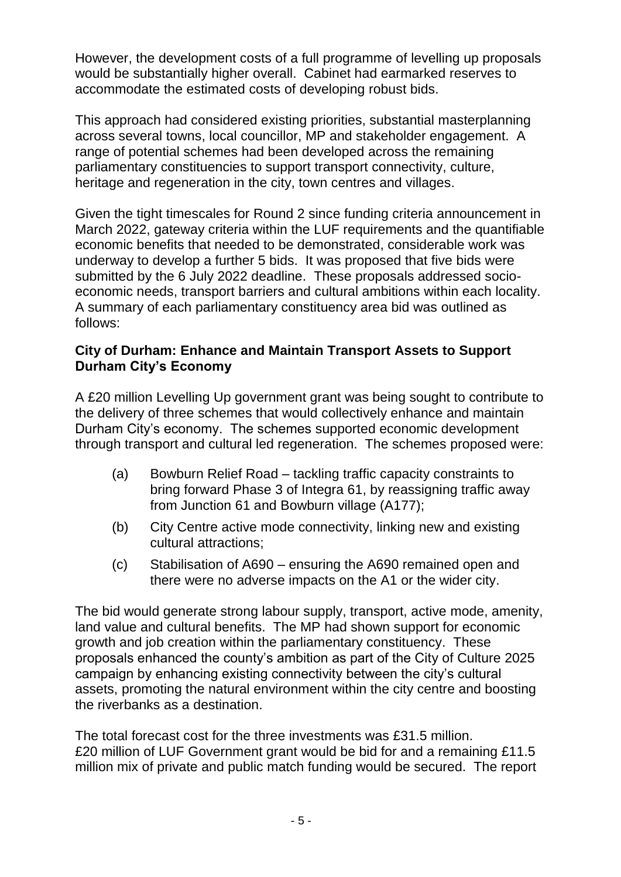However, the development costs of a full programme of levelling up proposals would be substantially higher overall. Cabinet had earmarked reserves to accommodate the estimated costs of developing robust bids.

This approach had considered existing priorities, substantial masterplanning across several towns, local councillor, MP and stakeholder engagement. A range of potential schemes had been developed across the remaining parliamentary constituencies to support transport connectivity, culture, heritage and regeneration in the city, town centres and villages.

Given the tight timescales for Round 2 since funding criteria announcement in March 2022, gateway criteria within the LUF requirements and the quantifiable economic benefits that needed to be demonstrated, considerable work was underway to develop a further 5 bids. It was proposed that five bids were submitted by the 6 July 2022 deadline. These proposals addressed socioeconomic needs, transport barriers and cultural ambitions within each locality. A summary of each parliamentary constituency area bid was outlined as follows:

#### **City of Durham: Enhance and Maintain Transport Assets to Support Durham City's Economy**

A £20 million Levelling Up government grant was being sought to contribute to the delivery of three schemes that would collectively enhance and maintain Durham City's economy. The schemes supported economic development through transport and cultural led regeneration. The schemes proposed were:

- (a) Bowburn Relief Road tackling traffic capacity constraints to bring forward Phase 3 of Integra 61, by reassigning traffic away from Junction 61 and Bowburn village (A177);
- (b) City Centre active mode connectivity, linking new and existing cultural attractions;
- (c) Stabilisation of A690 ensuring the A690 remained open and there were no adverse impacts on the A1 or the wider city.

The bid would generate strong labour supply, transport, active mode, amenity, land value and cultural benefits. The MP had shown support for economic growth and job creation within the parliamentary constituency. These proposals enhanced the county's ambition as part of the City of Culture 2025 campaign by enhancing existing connectivity between the city's cultural assets, promoting the natural environment within the city centre and boosting the riverbanks as a destination.

The total forecast cost for the three investments was £31.5 million. £20 million of LUF Government grant would be bid for and a remaining £11.5 million mix of private and public match funding would be secured. The report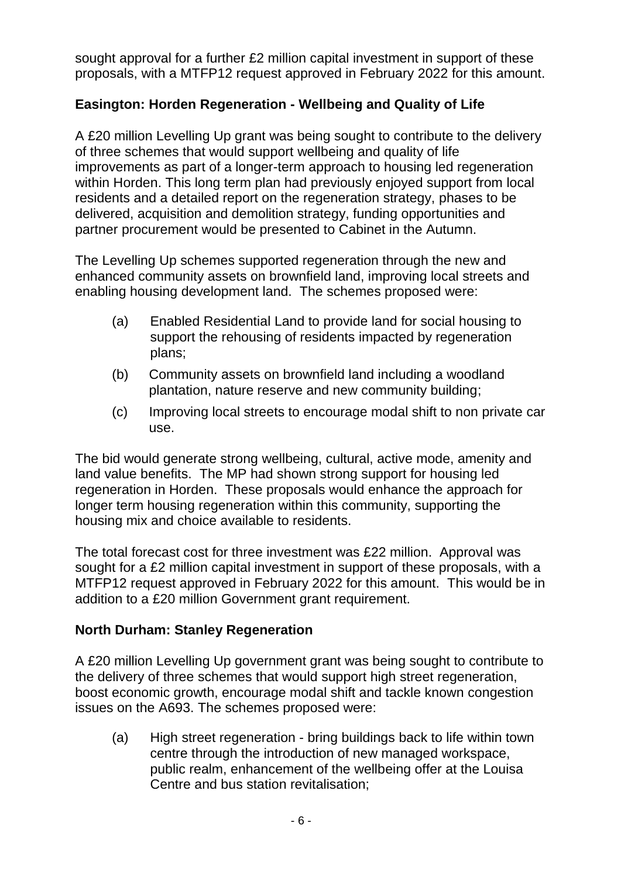sought approval for a further £2 million capital investment in support of these proposals, with a MTFP12 request approved in February 2022 for this amount.

## **Easington: Horden Regeneration - Wellbeing and Quality of Life**

A £20 million Levelling Up grant was being sought to contribute to the delivery of three schemes that would support wellbeing and quality of life improvements as part of a longer-term approach to housing led regeneration within Horden. This long term plan had previously enjoyed support from local residents and a detailed report on the regeneration strategy, phases to be delivered, acquisition and demolition strategy, funding opportunities and partner procurement would be presented to Cabinet in the Autumn.

The Levelling Up schemes supported regeneration through the new and enhanced community assets on brownfield land, improving local streets and enabling housing development land. The schemes proposed were:

- (a) Enabled Residential Land to provide land for social housing to support the rehousing of residents impacted by regeneration plans;
- (b) Community assets on brownfield land including a woodland plantation, nature reserve and new community building;
- (c) Improving local streets to encourage modal shift to non private car use.

The bid would generate strong wellbeing, cultural, active mode, amenity and land value benefits. The MP had shown strong support for housing led regeneration in Horden. These proposals would enhance the approach for longer term housing regeneration within this community, supporting the housing mix and choice available to residents.

The total forecast cost for three investment was £22 million. Approval was sought for a £2 million capital investment in support of these proposals, with a MTFP12 request approved in February 2022 for this amount. This would be in addition to a £20 million Government grant requirement.

## **North Durham: Stanley Regeneration**

A £20 million Levelling Up government grant was being sought to contribute to the delivery of three schemes that would support high street regeneration, boost economic growth, encourage modal shift and tackle known congestion issues on the A693. The schemes proposed were:

(a) High street regeneration - bring buildings back to life within town centre through the introduction of new managed workspace, public realm, enhancement of the wellbeing offer at the Louisa Centre and bus station revitalisation;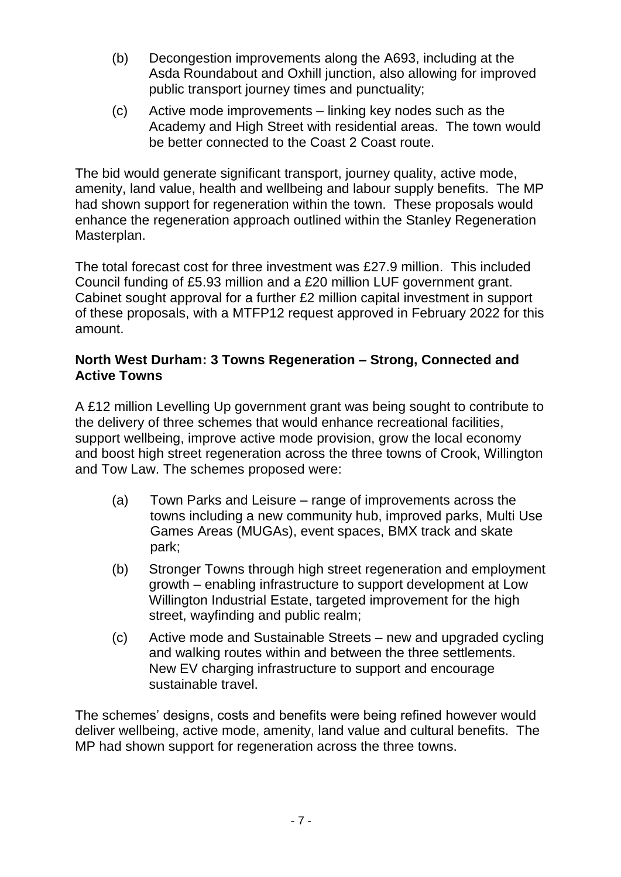- (b) Decongestion improvements along the A693, including at the Asda Roundabout and Oxhill junction, also allowing for improved public transport journey times and punctuality;
- (c) Active mode improvements linking key nodes such as the Academy and High Street with residential areas. The town would be better connected to the Coast 2 Coast route.

The bid would generate significant transport, journey quality, active mode, amenity, land value, health and wellbeing and labour supply benefits. The MP had shown support for regeneration within the town. These proposals would enhance the regeneration approach outlined within the Stanley Regeneration Masterplan.

The total forecast cost for three investment was £27.9 million. This included Council funding of £5.93 million and a £20 million LUF government grant. Cabinet sought approval for a further £2 million capital investment in support of these proposals, with a MTFP12 request approved in February 2022 for this amount.

#### **North West Durham: 3 Towns Regeneration – Strong, Connected and Active Towns**

A £12 million Levelling Up government grant was being sought to contribute to the delivery of three schemes that would enhance recreational facilities, support wellbeing, improve active mode provision, grow the local economy and boost high street regeneration across the three towns of Crook, Willington and Tow Law. The schemes proposed were:

- (a) Town Parks and Leisure range of improvements across the towns including a new community hub, improved parks, Multi Use Games Areas (MUGAs), event spaces, BMX track and skate park;
- (b) Stronger Towns through high street regeneration and employment growth – enabling infrastructure to support development at Low Willington Industrial Estate, targeted improvement for the high street, wayfinding and public realm;
- (c) Active mode and Sustainable Streets new and upgraded cycling and walking routes within and between the three settlements. New EV charging infrastructure to support and encourage sustainable travel.

The schemes' designs, costs and benefits were being refined however would deliver wellbeing, active mode, amenity, land value and cultural benefits. The MP had shown support for regeneration across the three towns.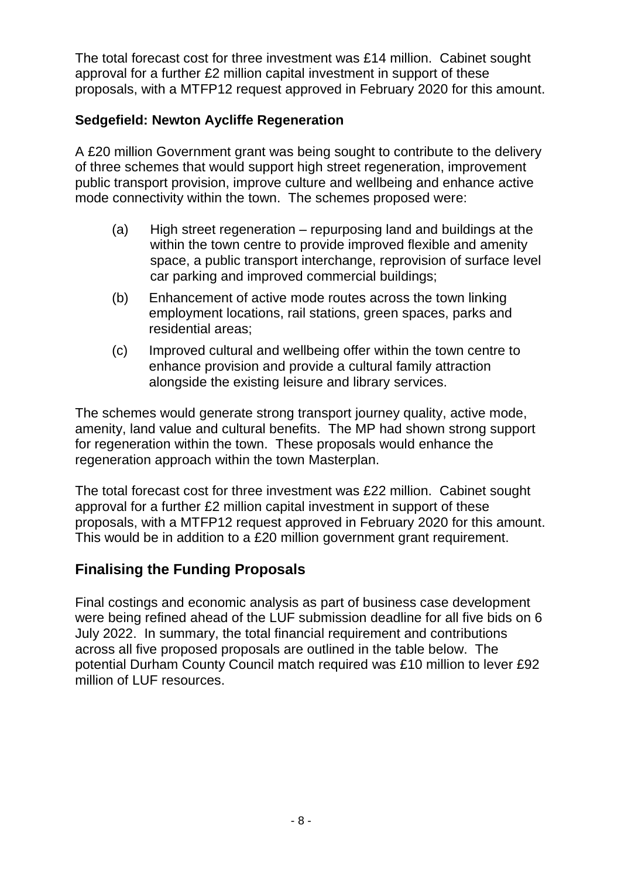The total forecast cost for three investment was £14 million. Cabinet sought approval for a further £2 million capital investment in support of these proposals, with a MTFP12 request approved in February 2020 for this amount.

## **Sedgefield: Newton Aycliffe Regeneration**

A £20 million Government grant was being sought to contribute to the delivery of three schemes that would support high street regeneration, improvement public transport provision, improve culture and wellbeing and enhance active mode connectivity within the town. The schemes proposed were:

- (a) High street regeneration repurposing land and buildings at the within the town centre to provide improved flexible and amenity space, a public transport interchange, reprovision of surface level car parking and improved commercial buildings;
- (b) Enhancement of active mode routes across the town linking employment locations, rail stations, green spaces, parks and residential areas;
- (c) Improved cultural and wellbeing offer within the town centre to enhance provision and provide a cultural family attraction alongside the existing leisure and library services.

The schemes would generate strong transport journey quality, active mode, amenity, land value and cultural benefits. The MP had shown strong support for regeneration within the town. These proposals would enhance the regeneration approach within the town Masterplan.

The total forecast cost for three investment was £22 million. Cabinet sought approval for a further £2 million capital investment in support of these proposals, with a MTFP12 request approved in February 2020 for this amount. This would be in addition to a £20 million government grant requirement.

## **Finalising the Funding Proposals**

Final costings and economic analysis as part of business case development were being refined ahead of the LUF submission deadline for all five bids on 6 July 2022. In summary, the total financial requirement and contributions across all five proposed proposals are outlined in the table below. The potential Durham County Council match required was £10 million to lever £92 million of LUF resources.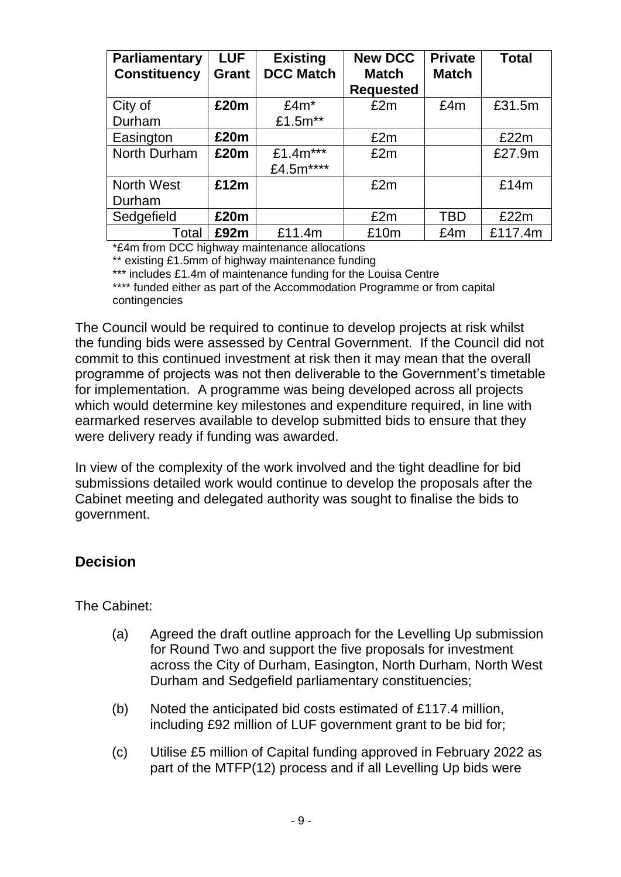| Parliamentary<br><b>Constituency</b> | <b>LUF</b><br><b>Grant</b> | <b>Existing</b><br><b>DCC Match</b> | <b>New DCC</b><br><b>Match</b> | <b>Private</b><br><b>Match</b> | <b>Total</b> |
|--------------------------------------|----------------------------|-------------------------------------|--------------------------------|--------------------------------|--------------|
|                                      |                            |                                     | <b>Requested</b>               |                                |              |
| City of                              | £20m                       | $£4m*$                              | £2m                            | £4m                            | £31.5m       |
| Durham                               |                            | £1.5m**                             |                                |                                |              |
| Easington                            | £20m                       |                                     | £2m                            |                                | £22m         |
| North Durham                         | £20m                       | £1.4 $m***$                         | £2m                            |                                | £27.9m       |
|                                      |                            | £4.5m****                           |                                |                                |              |
| <b>North West</b>                    | £12m                       |                                     | £2m                            |                                | £14m         |
| Durham                               |                            |                                     |                                |                                |              |
| Sedgefield                           | £20m                       |                                     | £2m                            | <b>TBD</b>                     | £22m         |
| Total                                | £92m                       | £11.4m                              | £10m                           | £4m                            | £117.4m      |

\*£4m from DCC highway maintenance allocations

\*\* existing £1.5mm of highway maintenance funding

\*\*\* includes £1.4m of maintenance funding for the Louisa Centre

\*\*\*\* funded either as part of the Accommodation Programme or from capital contingencies

The Council would be required to continue to develop projects at risk whilst the funding bids were assessed by Central Government. If the Council did not commit to this continued investment at risk then it may mean that the overall programme of projects was not then deliverable to the Government's timetable for implementation. A programme was being developed across all projects which would determine key milestones and expenditure required, in line with earmarked reserves available to develop submitted bids to ensure that they were delivery ready if funding was awarded.

In view of the complexity of the work involved and the tight deadline for bid submissions detailed work would continue to develop the proposals after the Cabinet meeting and delegated authority was sought to finalise the bids to government.

## **Decision**

The Cabinet:

- (a) Agreed the draft outline approach for the Levelling Up submission for Round Two and support the five proposals for investment across the City of Durham, Easington, North Durham, North West Durham and Sedgefield parliamentary constituencies;
- (b) Noted the anticipated bid costs estimated of £117.4 million, including £92 million of LUF government grant to be bid for;
- (c) Utilise £5 million of Capital funding approved in February 2022 as part of the MTFP(12) process and if all Levelling Up bids were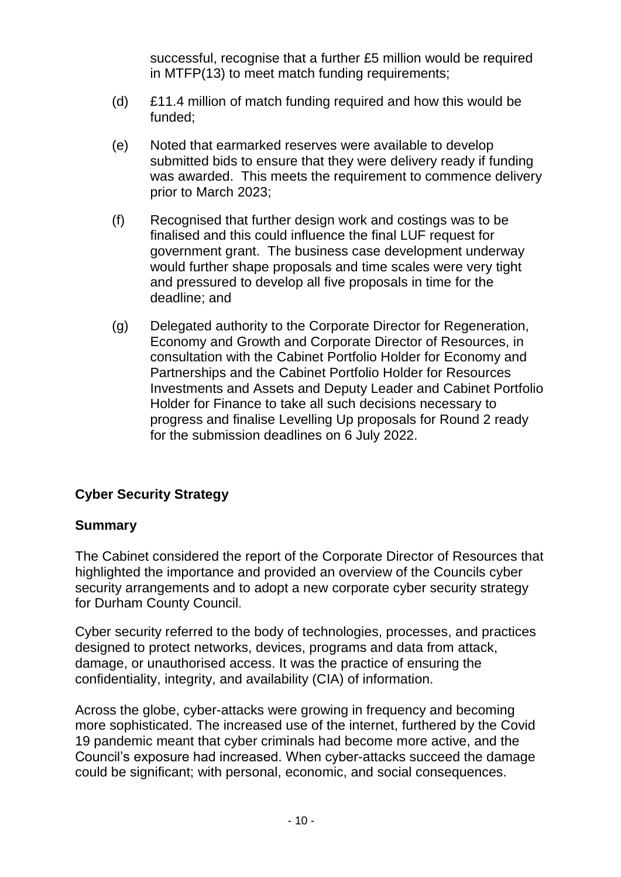successful, recognise that a further £5 million would be required in MTFP(13) to meet match funding requirements;

- (d) £11.4 million of match funding required and how this would be funded;
- (e) Noted that earmarked reserves were available to develop submitted bids to ensure that they were delivery ready if funding was awarded. This meets the requirement to commence delivery prior to March 2023;
- (f) Recognised that further design work and costings was to be finalised and this could influence the final LUF request for government grant. The business case development underway would further shape proposals and time scales were very tight and pressured to develop all five proposals in time for the deadline; and
- (g) Delegated authority to the Corporate Director for Regeneration, Economy and Growth and Corporate Director of Resources, in consultation with the Cabinet Portfolio Holder for Economy and Partnerships and the Cabinet Portfolio Holder for Resources Investments and Assets and Deputy Leader and Cabinet Portfolio Holder for Finance to take all such decisions necessary to progress and finalise Levelling Up proposals for Round 2 ready for the submission deadlines on 6 July 2022.

## **Cyber Security Strategy**

#### **Summary**

The Cabinet considered the report of the Corporate Director of Resources that highlighted the importance and provided an overview of the Councils cyber security arrangements and to adopt a new corporate cyber security strategy for Durham County Council.

Cyber security referred to the body of technologies, processes, and practices designed to protect networks, devices, programs and data from attack, damage, or unauthorised access. It was the practice of ensuring the confidentiality, integrity, and availability (CIA) of information.

Across the globe, cyber-attacks were growing in frequency and becoming more sophisticated. The increased use of the internet, furthered by the Covid 19 pandemic meant that cyber criminals had become more active, and the Council's exposure had increased. When cyber-attacks succeed the damage could be significant; with personal, economic, and social consequences.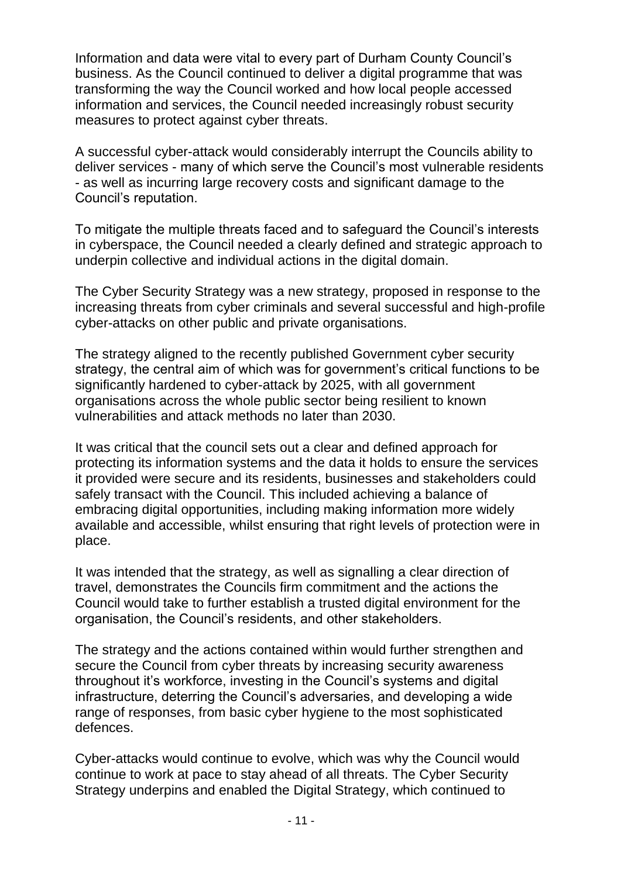Information and data were vital to every part of Durham County Council's business. As the Council continued to deliver a digital programme that was transforming the way the Council worked and how local people accessed information and services, the Council needed increasingly robust security measures to protect against cyber threats.

A successful cyber-attack would considerably interrupt the Councils ability to deliver services - many of which serve the Council's most vulnerable residents - as well as incurring large recovery costs and significant damage to the Council's reputation.

To mitigate the multiple threats faced and to safeguard the Council's interests in cyberspace, the Council needed a clearly defined and strategic approach to underpin collective and individual actions in the digital domain.

The Cyber Security Strategy was a new strategy, proposed in response to the increasing threats from cyber criminals and several successful and high-profile cyber-attacks on other public and private organisations.

The strategy aligned to the recently published Government cyber security strategy, the central aim of which was for government's critical functions to be significantly hardened to cyber-attack by 2025, with all government organisations across the whole public sector being resilient to known vulnerabilities and attack methods no later than 2030.

It was critical that the council sets out a clear and defined approach for protecting its information systems and the data it holds to ensure the services it provided were secure and its residents, businesses and stakeholders could safely transact with the Council. This included achieving a balance of embracing digital opportunities, including making information more widely available and accessible, whilst ensuring that right levels of protection were in place.

It was intended that the strategy, as well as signalling a clear direction of travel, demonstrates the Councils firm commitment and the actions the Council would take to further establish a trusted digital environment for the organisation, the Council's residents, and other stakeholders.

The strategy and the actions contained within would further strengthen and secure the Council from cyber threats by increasing security awareness throughout it's workforce, investing in the Council's systems and digital infrastructure, deterring the Council's adversaries, and developing a wide range of responses, from basic cyber hygiene to the most sophisticated defences.

Cyber-attacks would continue to evolve, which was why the Council would continue to work at pace to stay ahead of all threats. The Cyber Security Strategy underpins and enabled the Digital Strategy, which continued to